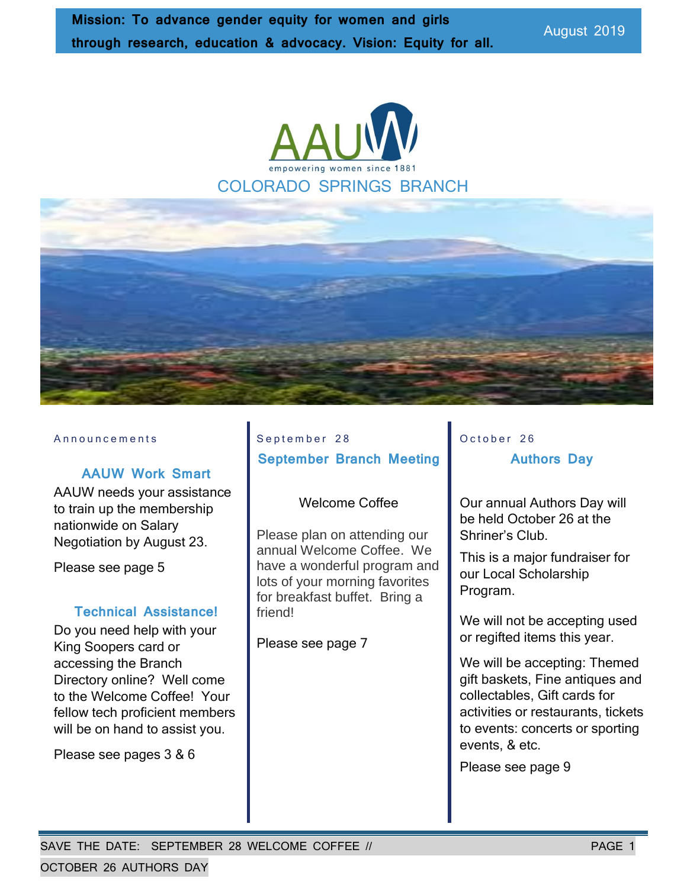



#### Announcements

#### **AAUW Work Smart**

AAUW needs your assistance to train up the membership nationwide on Salary Negotiation by August 23.

Please see page 5

#### **Technical Assistance!**

Do you need help with your King Soopers card or accessing the Branch Directory online? Well come to the Welcome Coffee! Your fellow tech proficient members will be on hand to assist you.

Please see pages 3 & 6

### September 28 **September Branch Meeting**

#### Welcome Coffee

Please plan on attending our annual Welcome Coffee. We have a wonderful program and lots of your morning favorites for breakfast buffet. Bring a friend!

Please see page 7

### October 26 **Authors Day**

Our annual Authors Day will be held October 26 at the Shriner's Club.

This is a major fundraiser for our Local Scholarship Program.

We will not be accepting used or regifted items this year.

We will be accepting: Themed gift baskets, Fine antiques and collectables, Gift cards for activities or restaurants, tickets to events: concerts or sporting events, & etc.

Please see page 9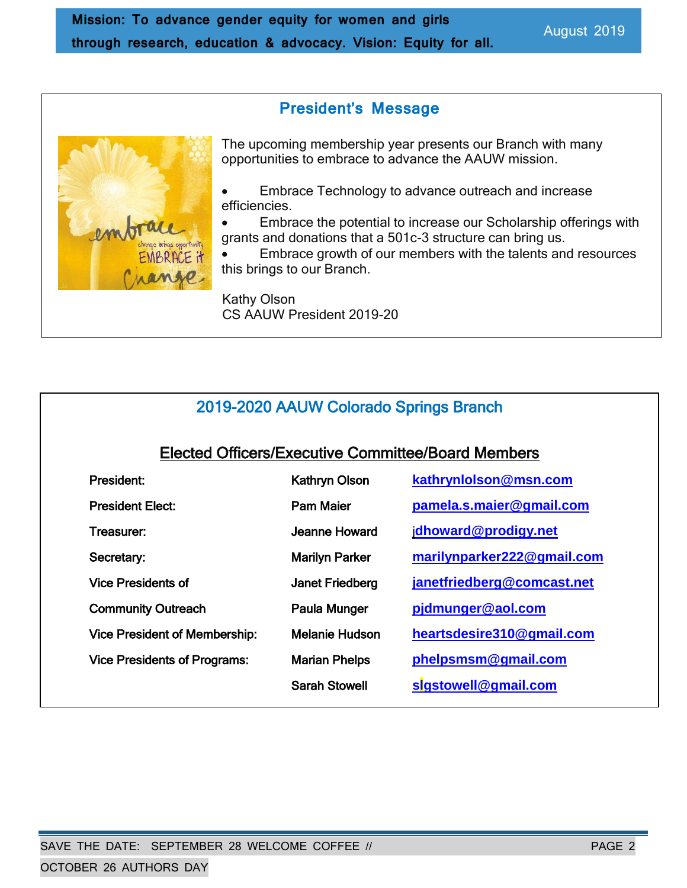**President's Message**

The upcoming membership year presents our Branch with many opportunities to embrace to advance the AAUW mission.

• Embrace Technology to advance outreach and increase efficiencies.

• Embrace the potential to increase our Scholarship offerings with grants and donations that a 501c-3 structure can bring us.

• Embrace growth of our members with the talents and resources this brings to our Branch.

 Kathy Olson CS AAUW President 2019-20

### 2019-2020 AAUW Colorado Springs Branch

### Elected Officers/Executive Committee/Board Members

| President:                           | <b>Kathryn Olson</b>   | kathrynlolson@msn.com      |
|--------------------------------------|------------------------|----------------------------|
| <b>President Elect:</b>              | <b>Pam Maier</b>       | pamela.s.maier@gmail.com   |
| Treasurer:                           | Jeanne Howard          | jdhoward@prodigy.net       |
| Secretary:                           | <b>Marilyn Parker</b>  | marilynparker222@gmail.com |
| <b>Vice Presidents of</b>            | <b>Janet Friedberg</b> | janetfriedberg@comcast.net |
| <b>Community Outreach</b>            | Paula Munger           | pjdmunger@aol.com          |
| <b>Vice President of Membership:</b> | <b>Melanie Hudson</b>  | heartsdesire310@gmail.com  |
| <b>Vice Presidents of Programs:</b>  | <b>Marian Phelps</b>   | phelpsmsm@gmail.com        |
|                                      | <b>Sarah Stowell</b>   | sigstowell@gmail.com       |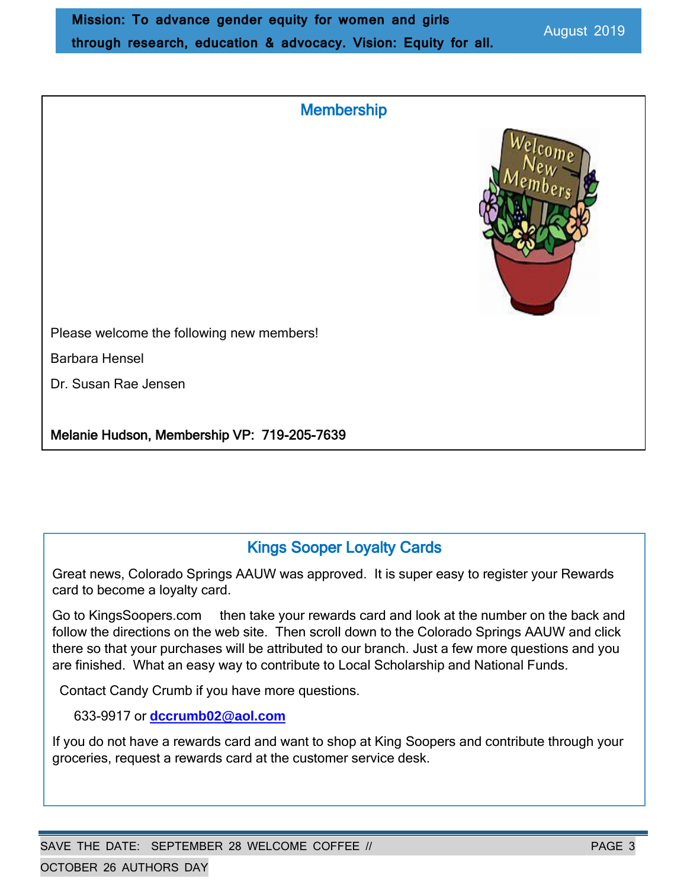| <b>Membership</b> |  |
|-------------------|--|



Please welcome the following new members!

Barbara Hensel

Dr. Susan Rae Jensen

Melanie Hudson, Membership VP: 719-205-7639

### Kings Sooper Loyalty Cards

Great news, Colorado Springs AAUW was approved. It is super easy to register your Rewards card to become a loyalty card.

Go to KingsSoopers.com then take your rewards card and look at the number on the back and follow the directions on the web site. Then scroll down to the Colorado Springs AAUW and click there so that your purchases will be attributed to our branch. Just a few more questions and you are finished. What an easy way to contribute to Local Scholarship and National Funds.

Contact Candy Crumb if you have more questions.

633-9917 or **dccrumb02@aol.com**

If you do not have a rewards card and want to shop at King Soopers and contribute through your groceries, request a rewards card at the customer service desk.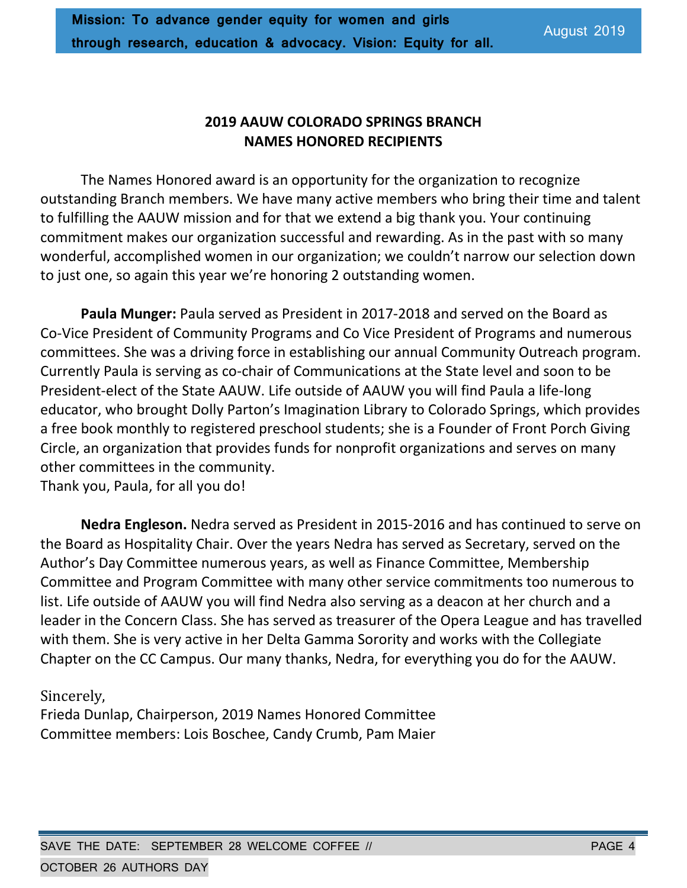### **2019 AAUW COLORADO SPRINGS BRANCH NAMES HONORED RECIPIENTS**

The Names Honored award is an opportunity for the organization to recognize outstanding Branch members. We have many active members who bring their time and talent to fulfilling the AAUW mission and for that we extend a big thank you. Your continuing commitment makes our organization successful and rewarding. As in the past with so many wonderful, accomplished women in our organization; we couldn't narrow our selection down to just one, so again this year we're honoring 2 outstanding women.

**Paula Munger:** Paula served as President in 2017-2018 and served on the Board as Co-Vice President of Community Programs and Co Vice President of Programs and numerous committees. She was a driving force in establishing our annual Community Outreach program. Currently Paula is serving as co-chair of Communications at the State level and soon to be President-elect of the State AAUW. Life outside of AAUW you will find Paula a life-long educator, who brought Dolly Parton's Imagination Library to Colorado Springs, which provides a free book monthly to registered preschool students; she is a Founder of Front Porch Giving Circle, an organization that provides funds for nonprofit organizations and serves on many other committees in the community.

Thank you, Paula, for all you do!

**Nedra Engleson.** Nedra served as President in 2015-2016 and has continued to serve on the Board as Hospitality Chair. Over the years Nedra has served as Secretary, served on the Author's Day Committee numerous years, as well as Finance Committee, Membership Committee and Program Committee with many other service commitments too numerous to list. Life outside of AAUW you will find Nedra also serving as a deacon at her church and a leader in the Concern Class. She has served as treasurer of the Opera League and has travelled with them. She is very active in her Delta Gamma Sorority and works with the Collegiate Chapter on the CC Campus. Our many thanks, Nedra, for everything you do for the AAUW.

### Sincerely,

Frieda Dunlap, Chairperson, 2019 Names Honored Committee Committee members: Lois Boschee, Candy Crumb, Pam Maier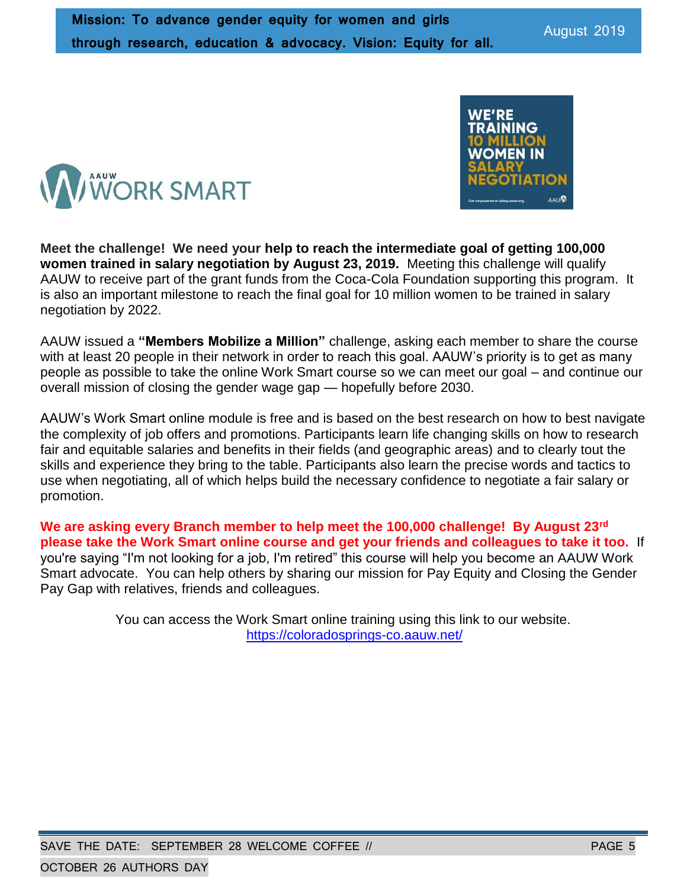**Meet the challenge! We need your help to reach the intermediate goal of getting 100,000 women trained in salary negotiation by August 23, 2019.** Meeting this challenge will qualify AAUW to receive part of the grant funds from the Coca-Cola Foundation supporting this program. It is also an important milestone to reach the final goal for 10 million women to be trained in salary negotiation by 2022.

AAUW issued a **"Members Mobilize a Million"** challenge, asking each member to share the course with at least 20 people in their network in order to reach this goal. AAUW's priority is to get as many people as possible to take the online Work Smart course so we can meet our goal – and continue our overall mission of closing the gender wage gap — hopefully before 2030.

AAUW's Work Smart online module is free and is based on the best research on how to best navigate the complexity of job offers and promotions. Participants learn life changing skills on how to research fair and equitable salaries and benefits in their fields (and geographic areas) and to clearly tout the skills and experience they bring to the table. Participants also learn the precise words and tactics to use when negotiating, all of which helps build the necessary confidence to negotiate a fair salary or promotion.

**We are asking every Branch member to help meet the 100,000 challenge! By August 23rd please take the Work Smart online course and get your friends and colleagues to take it too.** If you're saying "I'm not looking for a job, I'm retired" this course will help you become an AAUW Work Smart advocate. You can help others by sharing our mission for Pay Equity and Closing the Gender Pay Gap with relatives, friends and colleagues.

> You can access the Work Smart online training using this link to our website. <https://coloradosprings-co.aauw.net/>



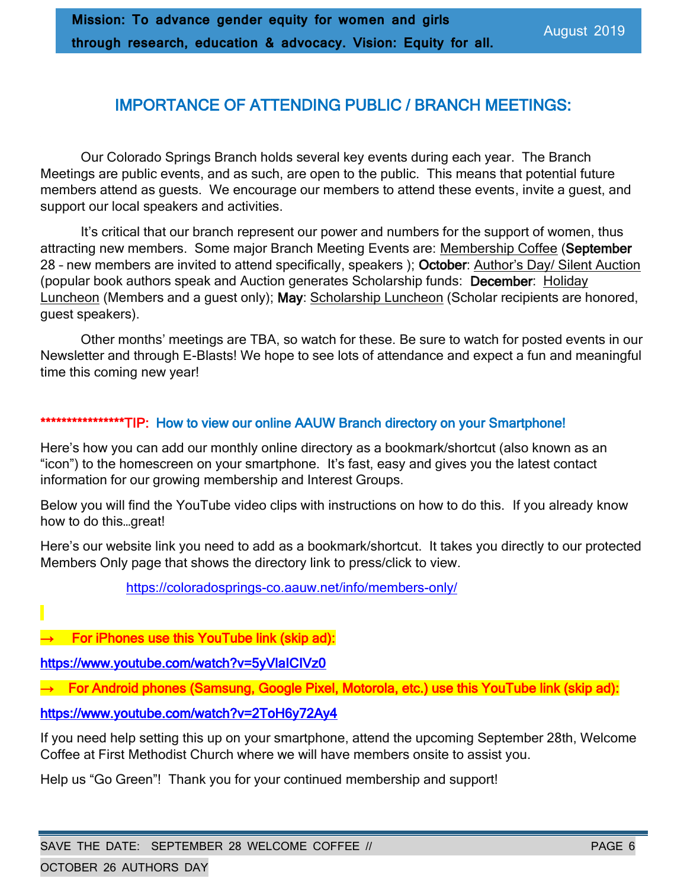### IMPORTANCE OF ATTENDING PUBLIC / BRANCH MEETINGS:

Our Colorado Springs Branch holds several key events during each year. The Branch Meetings are public events, and as such, are open to the public. This means that potential future members attend as guests. We encourage our members to attend these events, invite a guest, and support our local speakers and activities.

It's critical that our branch represent our power and numbers for the support of women, thus attracting new members. Some major Branch Meeting Events are: Membership Coffee (September 28 – new members are invited to attend specifically, speakers ); October: Author's Day/ Silent Auction (popular book authors speak and Auction generates Scholarship funds: December: Holiday Luncheon (Members and a guest only); May: Scholarship Luncheon (Scholar recipients are honored, guest speakers).

Other months' meetings are TBA, so watch for these. Be sure to watch for posted events in our Newsletter and through E-Blasts! We hope to see lots of attendance and expect a fun and meaningful time this coming new year!

#### \*\*\*\*\*\*\*\*\*\*\*\*\*\*\*TIP: How to view our online AAUW Branch directory on your Smartphone!

Here's how you can add our monthly online directory as a bookmark/shortcut (also known as an "icon") to the homescreen on your smartphone. It's fast, easy and gives you the latest contact information for our growing membership and Interest Groups.

Below you will find the YouTube video clips with instructions on how to do this. If you already know how to do this…great!

Here's our website link you need to add as a bookmark/shortcut. It takes you directly to our protected Members Only page that shows the directory link to press/click to view.

[https://coloradosprings-co.aauw.net/info/members-only/](https://nam02.safelinks.protection.outlook.com/?url=https%3A%2F%2Fcoloradosprings-co.aauw.net%2Finfo%2Fmembers-only%2F&data=02%7C01%7C%7C78c5325ca1b94e73e89108d6fe9077a6%7C84df9e7fe9f640afb435aaaaaaaaaaaa%7C1%7C0%7C636976293761787510&sdata=qFmjxOXXNZfy7yCwhb70Kp%2B40Qgs2GZvq%2BXDLteJN0k%3D&reserved=0)

→ For iPhones use this YouTube link (skip ad):

[https://www.youtube.com/watch?v=5yVlaICIVz0](https://nam02.safelinks.protection.outlook.com/?url=https%3A%2F%2Fwww.youtube.com%2Fwatch%3Fv%3D5yVlaICIVz0&data=02%7C01%7C%7C78c5325ca1b94e73e89108d6fe9077a6%7C84df9e7fe9f640afb435aaaaaaaaaaaa%7C1%7C0%7C636976293761797515&sdata=PJmqd%2FZzm8deSvLBt2l9Ez94izL4iQ9SJw8UdVdRA18%3D&reserved=0)

→ For Android phones (Samsung, Google Pixel, Motorola, etc.) use this YouTube link (skip ad):

[https://www.youtube.com/watch?v=2ToH6y72Ay4](https://nam02.safelinks.protection.outlook.com/?url=https%3A%2F%2Fwww.youtube.com%2Fwatch%3Fv%3D2ToH6y72Ay4&data=02%7C01%7C%7C78c5325ca1b94e73e89108d6fe9077a6%7C84df9e7fe9f640afb435aaaaaaaaaaaa%7C1%7C0%7C636976293761817531&sdata=huzmpB4MaJ%2BeTVMV%2BoerVQBErxCeTAs6VKDqosXBAlc%3D&reserved=0)

If you need help setting this up on your smartphone, attend the upcoming September 28th, Welcome Coffee at First Methodist Church where we will have members onsite to assist you.

Help us "Go Green"! Thank you for your continued membership and support!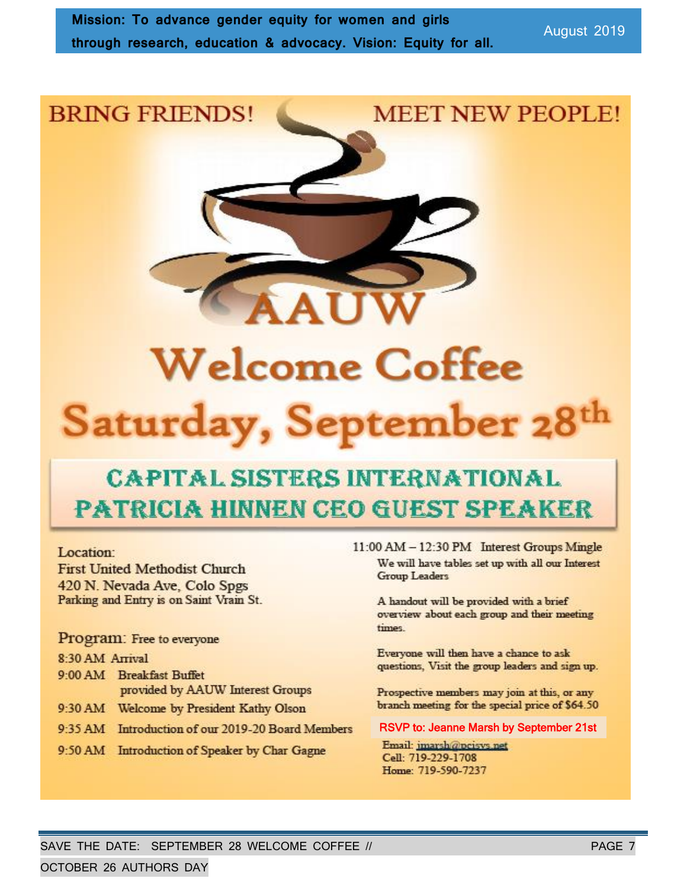## **BRING FRIENDS!**

## **MEET NEW PEOPLE!**



# **CAPITAL SISTERS INTERNATIONAL PATRICIA HINNEN CEO GUEST SPEAKER**

#### Location:

**First United Methodist Church** 420 N. Nevada Ave, Colo Spgs Parking and Entry is on Saint Vrain St.

Program: Free to everyone

#### 8:30 AM Arrival

- 9:00 AM Breakfast Buffet provided by AAUW Interest Groups
- 9:30 AM Welcome by President Kathy Olson
- 9:35 AM Introduction of our 2019-20 Board Members
- 9:50 AM Introduction of Speaker by Char Gagne

11:00 AM - 12:30 PM Interest Groups Mingle We will have tables set up with all our Interest **Group Leaders** 

A handout will be provided with a brief overview about each group and their meeting times

Everyone will then have a chance to ask questions, Visit the group leaders and sign up.

Prospective members may join at this, or any branch meeting for the special price of \$64.50

#### RSVP to: Jeanne Marsh by September 21st

Email: imarsh@peisys.net Cell: 719-229-1708 Home: 719-590-7237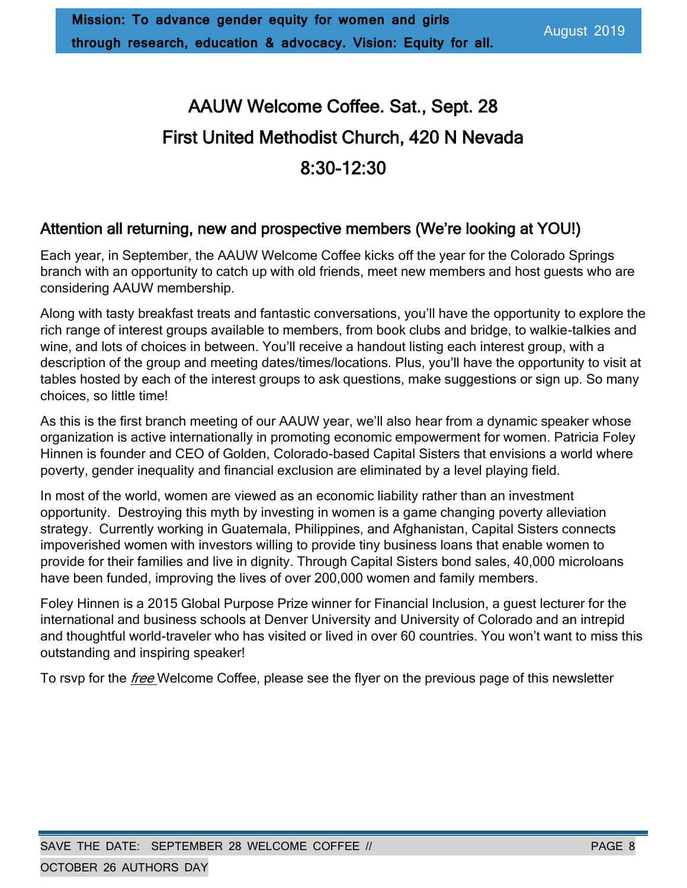# AAUW Welcome Coffee. Sat., Sept. 28 First United Methodist Church, 420 N Nevada 8:30-12:30

### Attention all returning, new and prospective members (We're looking at YOU!)

Each year, in September, the AAUW Welcome Coffee kicks off the year for the Colorado Springs branch with an opportunity to catch up with old friends, meet new members and host guests who are considering AAUW membership.

Along with tasty breakfast treats and fantastic conversations, you'll have the opportunity to explore the rich range of interest groups available to members, from book clubs and bridge, to walkie-talkies and wine, and lots of choices in between. You'll receive a handout listing each interest group, with a description of the group and meeting dates/times/locations. Plus, you'll have the opportunity to visit at tables hosted by each of the interest groups to ask questions, make suggestions or sign up. So many choices, so little time!

As this is the first branch meeting of our AAUW year, we'll also hear from a dynamic speaker whose organization is active internationally in promoting economic empowerment for women. Patricia Foley Hinnen is founder and CEO of Golden, Colorado-based Capital Sisters that envisions a world where poverty, gender inequality and financial exclusion are eliminated by a level playing field.

In most of the world, women are viewed as an economic liability rather than an investment opportunity. Destroying this myth by investing in women is a game changing poverty alleviation strategy. Currently working in Guatemala, Philippines, and Afghanistan, Capital Sisters connects impoverished women with investors willing to provide tiny business loans that enable women to provide for their families and live in dignity. Through Capital Sisters bond sales, 40,000 microloans have been funded, improving the lives of over 200,000 women and family members.

Foley Hinnen is a 2015 Global Purpose Prize winner for Financial Inclusion, a guest lecturer for the international and business schools at Denver University and University of Colorado and an intrepid and thoughtful world-traveler who has visited or lived in over 60 countries. You won't want to miss this outstanding and inspiring speaker!

To rsvp for the *free* Welcome Coffee, please see the flyer on the previous page of this newsletter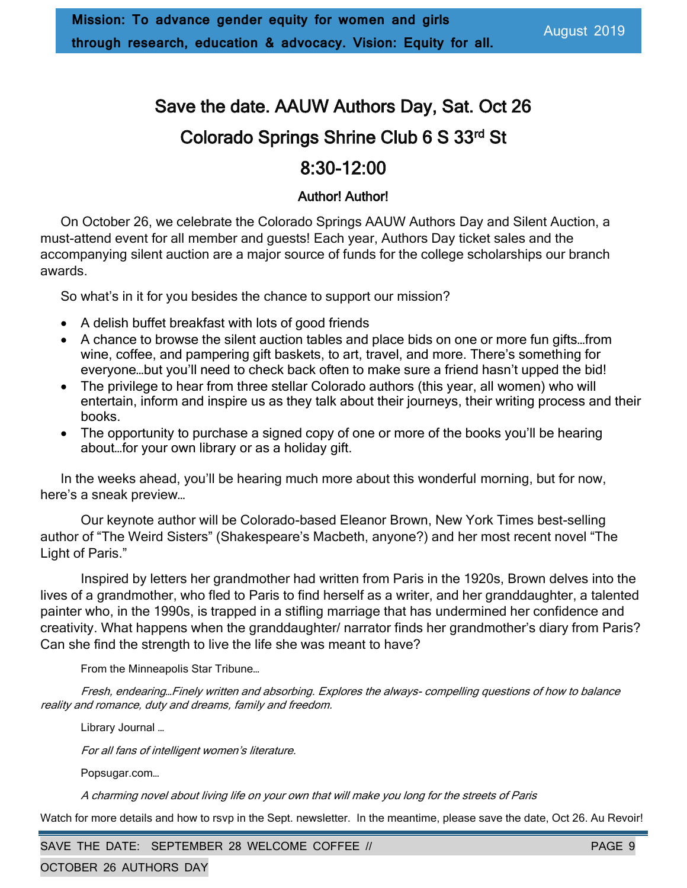# Save the date. AAUW Authors Day, Sat. Oct 26 Colorado Springs Shrine Club 6 S 33rd St

### 8:30-12:00

### Author! Author!

On October 26, we celebrate the Colorado Springs AAUW Authors Day and Silent Auction, a must-attend event for all member and guests! Each year, Authors Day ticket sales and the accompanying silent auction are a major source of funds for the college scholarships our branch awards.

So what's in it for you besides the chance to support our mission?

- A delish buffet breakfast with lots of good friends
- A chance to browse the silent auction tables and place bids on one or more fun gifts…from wine, coffee, and pampering gift baskets, to art, travel, and more. There's something for everyone…but you'll need to check back often to make sure a friend hasn't upped the bid!
- The privilege to hear from three stellar Colorado authors (this year, all women) who will entertain, inform and inspire us as they talk about their journeys, their writing process and their books.
- The opportunity to purchase a signed copy of one or more of the books you'll be hearing about…for your own library or as a holiday gift.

In the weeks ahead, you'll be hearing much more about this wonderful morning, but for now, here's a sneak preview…

Our keynote author will be Colorado-based Eleanor Brown, New York Times best-selling author of "The Weird Sisters" (Shakespeare's Macbeth, anyone?) and her most recent novel "The Light of Paris."

Inspired by letters her grandmother had written from Paris in the 1920s, Brown delves into the lives of a grandmother, who fled to Paris to find herself as a writer, and her granddaughter, a talented painter who, in the 1990s, is trapped in a stifling marriage that has undermined her confidence and creativity. What happens when the granddaughter/ narrator finds her grandmother's diary from Paris? Can she find the strength to live the life she was meant to have?

From the Minneapolis Star Tribune…

Fresh, endearing…Finely written and absorbing. Explores the always- compelling questions of how to balance reality and romance, duty and dreams, family and freedom.

Library Journal …

For all fans of intelligent women's literature.

Popsugar.com…

A charming novel about living life on your own that will make you long for the streets of Paris

Watch for more details and how to rsvp in the Sept. newsletter. In the meantime, please save the date, Oct 26. Au Revoir!

SAVE THE DATE: SEPTEMBER 28 WELCOME COFFEE // PAGE 9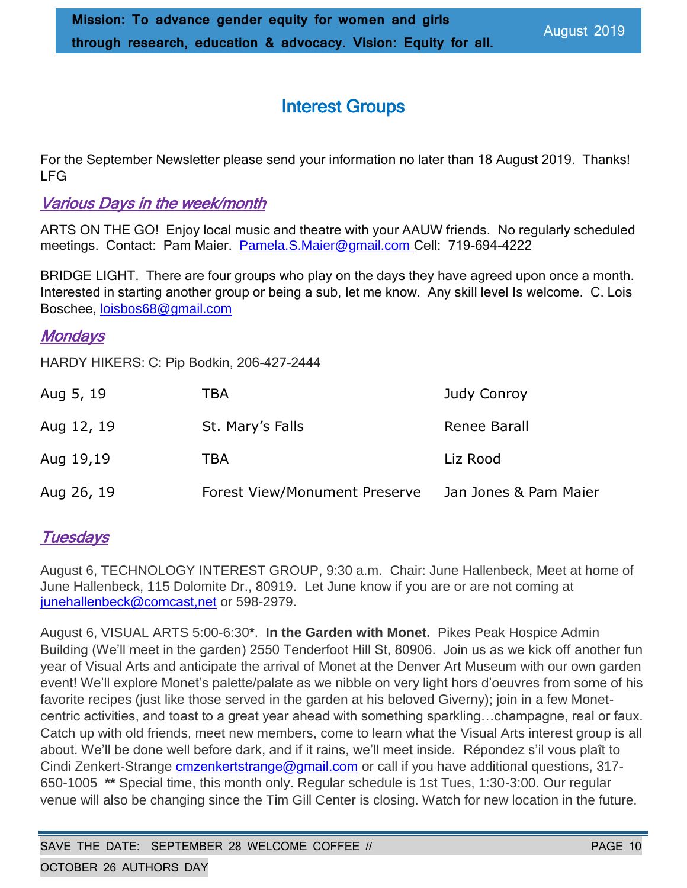### Interest Groups

For the September Newsletter please send your information no later than 18 August 2019. Thanks! LFG

### Various Days in the week/month

ARTS ON THE GO! Enjoy local music and theatre with your AAUW friends. No regularly scheduled meetings. Contact: Pam Maier. [Pamela.S.Maier@gmail.com](mailto:Pamela.S.Maier@gmail.com) Cell: 719-694-4222

BRIDGE LIGHT. There are four groups who play on the days they have agreed upon once a month. Interested in starting another group or being a sub, let me know. Any skill level Is welcome. C. Lois Boschee, loisbos68@gmail.com

### Mondays

HARDY HIKERS: C: Pip Bodkin, 206-427-2444

| Aug 5, 19  | TBA                           | Judy Conroy           |
|------------|-------------------------------|-----------------------|
| Aug 12, 19 | St. Mary's Falls              | Renee Barall          |
| Aug 19,19  | TBA                           | Liz Rood              |
| Aug 26, 19 | Forest View/Monument Preserve | Jan Jones & Pam Maier |

### **Tuesdays**

August 6, TECHNOLOGY INTEREST GROUP, 9:30 a.m. Chair: June Hallenbeck, Meet at home of June Hallenbeck, 115 Dolomite Dr., 80919. Let June know if you are or are not coming at [junehallenbeck@comcast,net](mailto:junehallenbeck@comcast,net) or 598-2979.

August 6, VISUAL ARTS 5:00-6:30**\***. **In the Garden with Monet.** Pikes Peak Hospice Admin Building (We'll meet in the garden) 2550 Tenderfoot Hill St, 80906. Join us as we kick off another fun year of Visual Arts and anticipate the arrival of Monet at the Denver Art Museum with our own garden event! We'll explore Monet's palette/palate as we nibble on very light hors d'oeuvres from some of his favorite recipes (just like those served in the garden at his beloved Giverny); join in a few Monetcentric activities, and toast to a great year ahead with something sparkling…champagne, real or faux. Catch up with old friends, meet new members, come to learn what the Visual Arts interest group is all about. We'll be done well before dark, and if it rains, we'll meet inside. Répondez s'il vous plaît to Cindi Zenkert-Strange [cmzenkertstrange@gmail.com](mailto:cmzenkertstrange@gmail.com) or call if you have additional questions, 317-650-1005 **\*\*** Special time, this month only. Regular schedule is 1st Tues, 1:30-3:00. Our regular venue will also be changing since the Tim Gill Center is closing. Watch for new location in the future.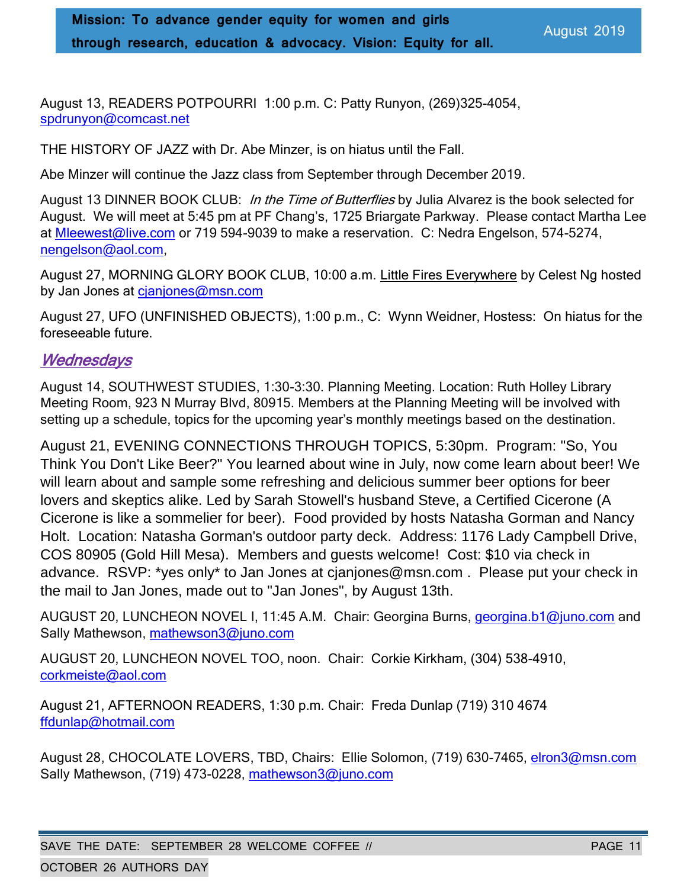August 13, READERS POTPOURRI 1:00 p.m. C: Patty Runyon, (269)325-4054, [spdrunyon@comcast.net](mailto:spdrunyon@comcast.net)

THE HISTORY OF JAZZ with Dr. Abe Minzer, is on hiatus until the Fall.

Abe Minzer will continue the Jazz class from September through December 2019.

August 13 DINNER BOOK CLUB: In the Time of Butterflies by Julia Alvarez is the book selected for August. We will meet at 5:45 pm at PF Chang's, 1725 Briargate Parkway. Please contact Martha Lee at [Mleewest@live.com](mailto:Mleewest@live.com) or 719 594-9039 to make a reservation. C: Nedra Engelson, 574-5274, [nengelson@aol.com,](mailto:nengelson@aol.com)

August 27, MORNING GLORY BOOK CLUB, 10:00 a.m. Little Fires Everywhere by Celest Ng hosted by Jan Jones at cjanjones@msn.com

August 27, UFO (UNFINISHED OBJECTS), 1:00 p.m., C: Wynn Weidner, Hostess: On hiatus for the foreseeable future.

### **Wednesdays**

August 14, SOUTHWEST STUDIES, 1:30-3:30. Planning Meeting. Location: Ruth Holley Library Meeting Room, 923 N Murray Blvd, 80915. Members at the Planning Meeting will be involved with setting up a schedule, topics for the upcoming year's monthly meetings based on the destination.

August 21, EVENING CONNECTIONS THROUGH TOPICS, 5:30pm. Program: "So, You Think You Don't Like Beer?" You learned about wine in July, now come learn about beer! We will learn about and sample some refreshing and delicious summer beer options for beer lovers and skeptics alike. Led by Sarah Stowell's husband Steve, a Certified Cicerone (A Cicerone is like a sommelier for beer). Food provided by hosts Natasha Gorman and Nancy Holt. Location: Natasha Gorman's outdoor party deck. Address: 1176 Lady Campbell Drive, COS 80905 (Gold Hill Mesa). Members and guests welcome! Cost: \$10 via check in advance. RSVP: \*yes only\* to Jan Jones at [cjanjones@msn.com](mailto:cjanjones@msn.com) . Please put your check in the mail to Jan Jones, made out to "Jan Jones", by August 13th.

AUGUST 20, LUNCHEON NOVEL I, 11:45 A.M. Chair: Georgina Burns, [georgina.b1@juno.com](file:///C:/Users/grosslf/Documents/AAUW/Newsletter/Nov%202018/georgina.b1@juno.com) and Sally Mathewson, [mathewson3@juno.com](mailto:mathewson3@juno.com)

AUGUST 20, LUNCHEON NOVEL TOO, noon. Chair: Corkie Kirkham, (304) 538-4910, [corkmeiste@aol.com](mailto:corkmeiste@aol.com)

August 21, AFTERNOON READERS, 1:30 p.m. Chair: Freda Dunlap (719) 310 4674 [ffdunlap@hotmail.com](mailto:ffdunlap@hotmail.com)

August 28, CHOCOLATE LOVERS, TBD, Chairs: Ellie Solomon, (719) 630-7465, [elron3@msn.com](mailto:elron3@msn.com) Sally Mathewson, (719) 473-0228, [mathewson3@juno.com](mailto:mathewson3@juno.com)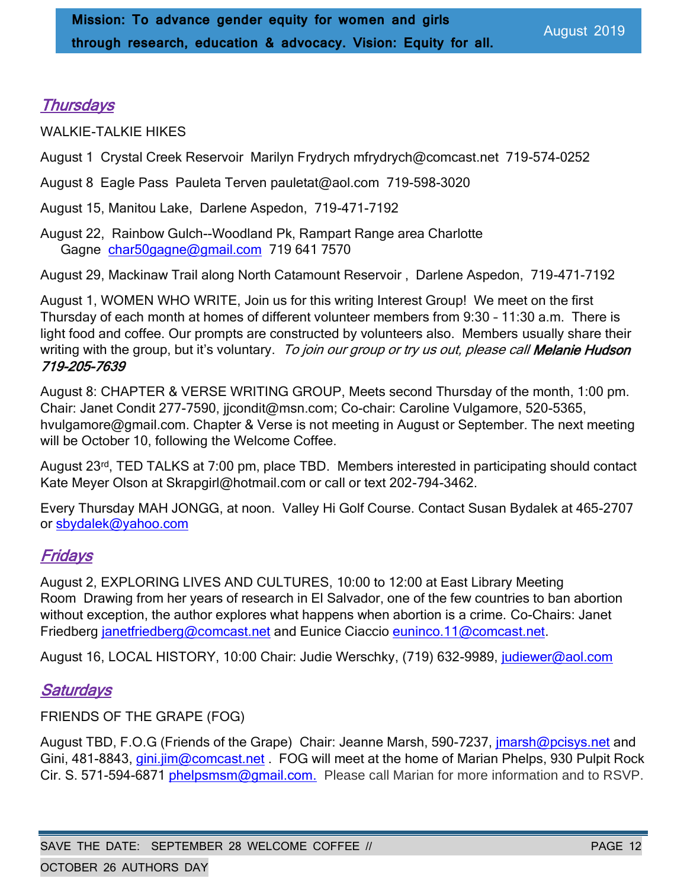### **Thursdays**

WALKIE-TALKIE HIKES

August 1 Crystal Creek Reservoir Marilyn Frydrych mfrydrych@comcast.net 719-574-0252

August 8 Eagle Pass Pauleta Terven pauletat@aol.com 719-598-3020

August 15, Manitou Lake, Darlene Aspedon, 719-471-7192

August 22, Rainbow Gulch--Woodland Pk, Rampart Range area Charlotte Gagne [char50gagne@gmail.com](mailto:char50gagne@gmail.com) 719 641 7570

August 29, Mackinaw Trail along North Catamount Reservoir , Darlene Aspedon, 719-471-7192

August 1, WOMEN WHO WRITE, Join us for this writing Interest Group! We meet on the first Thursday of each month at homes of different volunteer members from 9:30 – 11:30 a.m. There is light food and coffee. Our prompts are constructed by volunteers also. Members usually share their writing with the group, but it's voluntary. To join our group or try us out, please call Melanie Hudson 719-205-7639

August 8: CHAPTER & VERSE WRITING GROUP, Meets second Thursday of the month, 1:00 pm. Chair: Janet Condit 277-7590, jicondit@msn.com; Co-chair: Caroline Vulgamore, 520-5365, [hvulgamore@gmail.com.](mailto:hvulgamore@gmail.com) Chapter & Verse is not meeting in August or September. The next meeting will be October 10, following the Welcome Coffee.

August 23rd, TED TALKS at 7:00 pm, place TBD. Members interested in participating should contact Kate Meyer Olson at Skrapgirl@hotmail.com or call or text 202-794-3462.

Every Thursday MAH JONGG, at noon. Valley Hi Golf Course. Contact Susan Bydalek at 465-2707 or [sbydalek@yahoo.com](mailto:sbydalek@yahoo.com)

### **Fridays**

August 2, EXPLORING LIVES AND CULTURES, 10:00 to 12:00 at East Library Meeting Room Drawing from her years of research in El Salvador, one of the few countries to ban abortion without exception, the author explores what happens when abortion is a crime. Co-Chairs: Janet Friedberg [janetfriedberg@comcast.net](mailto:janetfriedberg@comcast.net) and Eunice Ciaccio [euninco.11@comcast.net.](mailto:euninco.11@comcast.net)

August 16, LOCAL HISTORY, 10:00 Chair: Judie Werschky, (719) 632-9989, [judiewer@aol.com](mailto:judiewer@aol.com)

### **Saturdays**

FRIENDS OF THE GRAPE (FOG)

August TBD, F.O.G (Friends of the Grape) Chair: Jeanne Marsh, 590-7237, *jmarsh@pcisys.net* and Gini, 481-8843, gini.jim@comcast.net . FOG will meet at the home of Marian Phelps, 930 Pulpit Rock Cir. S. 571-594-6871 [phelpsmsm@gmail.com.](mailto:phelpsmsm@gmail.com) Please call Marian for more information and to RSVP.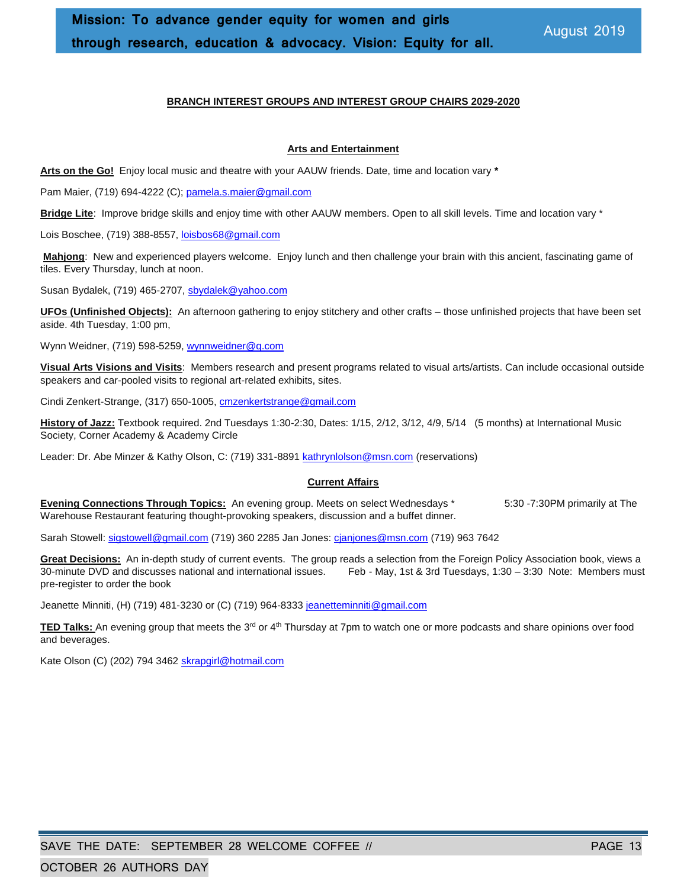#### **BRANCH INTEREST GROUPS AND INTEREST GROUP CHAIRS 2029-2020**

#### **Arts and Entertainment**

**Arts on the Go!** Enjoy local music and theatre with your AAUW friends. Date, time and location vary **\***

Pam Maier, (719) 694-4222 (C); [pamela.s.maier@gmail.com](mailto:pamela.s.maier@gmail.com)

**Bridge Lite**: Improve bridge skills and enjoy time with other AAUW members. Open to all skill levels. Time and location vary \*

Lois Boschee, (719) 388-8557[, loisbos68@gmail.com](mailto:loisbos68@gmail.com)

**Mahjong**: New and experienced players welcome. Enjoy lunch and then challenge your brain with this ancient, fascinating game of tiles. Every Thursday, lunch at noon.

Susan Bydalek, (719) 465-2707[, sbydalek@yahoo.com](mailto:sbydalek@yahoo.com)

**UFOs (Unfinished Objects):** An afternoon gathering to enjoy stitchery and other crafts – those unfinished projects that have been set aside. 4th Tuesday, 1:00 pm,

Wynn Weidner, (719) 598-5259[, wynnweidner@q.com](mailto:wynnweidner@q.com)

**Visual Arts Visions and Visits**: Members research and present programs related to visual arts/artists. Can include occasional outside speakers and car-pooled visits to regional art-related exhibits, sites.

Cindi Zenkert-Strange, (317) 650-1005[, cmzenkertstrange@gmail.com](mailto:cmzenkertstrange@gmail.com)

**History of Jazz:** Textbook required. 2nd Tuesdays 1:30-2:30, Dates: 1/15, 2/12, 3/12, 4/9, 5/14 (5 months) at International Music Society, Corner Academy & Academy Circle

Leader: Dr. Abe Minzer & Kathy Olson, C: (719) 331-889[1 kathrynlolson@msn.com](mailto:kathrynlolson@msn.com) (reservations)

#### **Current Affairs**

**Evening Connections Through Topics:** An evening group. Meets on select Wednesdays \* 5:30 -7:30PM primarily at The Warehouse Restaurant featuring thought-provoking speakers, discussion and a buffet dinner.

Sarah Stowell[: sigstowell@gmail.com](mailto:sigstowell@gmail.com) (719) 360 2285 Jan Jones: [cjanjones@msn.com](mailto:cjanjones@msn.com) (719) 963 7642

**Great Decisions:** An in-depth study of current events. The group reads a selection from the Foreign Policy Association book, views a 30-minute DVD and discusses national and international issues. Feb - May, 1st & 3rd Tuesdays, 1:30 – 3:30 Note: Members must pre-register to order the book

Jeanette Minniti, (H) (719) 481-3230 or (C) (719) 964-833[3 jeanetteminniti@gmail.com](mailto:jeanetteminniti@gmail.com)

**TED Talks:** An evening group that meets the 3<sup>rd</sup> or 4<sup>th</sup> Thursday at 7pm to watch one or more podcasts and share opinions over food and beverages.

Kate Olson (C) (202) 794 346[2 skrapgirl@hotmail.com](mailto:skrapgirl@hotmail.com)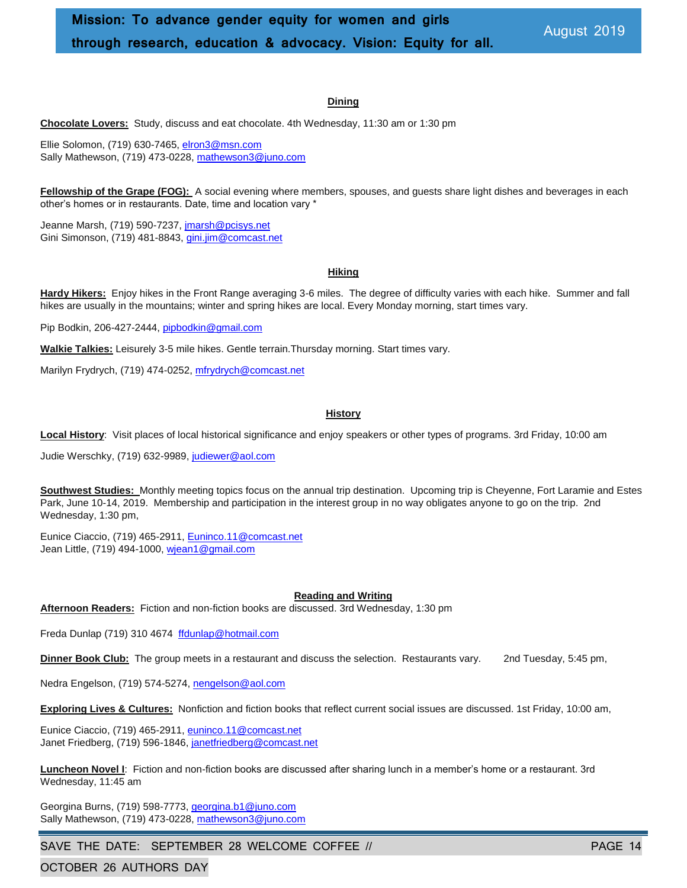#### **Dining**

**Chocolate Lovers:** Study, discuss and eat chocolate. 4th Wednesday, 11:30 am or 1:30 pm

Ellie Solomon, (719) 630-7465[, elron3@msn.com](mailto:elron3@msn.com) Sally Mathewson, (719) 473-0228[, mathewson3@juno.com](mailto:mathewson3@juno.com)

**Fellowship of the Grape (FOG):** A social evening where members, spouses, and guests share light dishes and beverages in each other's homes or in restaurants. Date, time and location vary \*

Jeanne Marsh, (719) 590-7237[, jmarsh@pcisys.net](mailto:jmarsh@pcisys.net) Gini Simonson, (719) 481-8843, *gini.jim@comcast.net* 

#### **Hiking**

**Hardy Hikers:** Enjoy hikes in the Front Range averaging 3-6 miles. The degree of difficulty varies with each hike. Summer and fall hikes are usually in the mountains; winter and spring hikes are local. Every Monday morning, start times vary.

Pip Bodkin, 206-427-2444, [pipbodkin@gmail.com](mailto:pipbodkin@gmail.com)

**Walkie Talkies:** Leisurely 3-5 mile hikes. Gentle terrain.Thursday morning. Start times vary.

Marilyn Frydrych, (719) 474-0252, [mfrydrych@comcast.net](mailto:mfrydrych@comcast.net)

#### **History**

**Local History**: Visit places of local historical significance and enjoy speakers or other types of programs. 3rd Friday, 10:00 am

Judie Werschky, (719) 632-9989, [judiewer@aol.com](mailto:judiewer@aol.com)

**Southwest Studies:** Monthly meeting topics focus on the annual trip destination. Upcoming trip is Cheyenne, Fort Laramie and Estes Park, June 10-14, 2019. Membership and participation in the interest group in no way obligates anyone to go on the trip. 2nd Wednesday, 1:30 pm,

Eunice Ciaccio, (719) 465-2911, [Euninco.11@comcast.net](mailto:Euninco.11@comcast.net) Jean Little, (719) 494-1000[, wjean1@gmail.com](mailto:wjean1@gmail.com)

#### **Reading and Writing**

**Afternoon Readers:** Fiction and non-fiction books are discussed. 3rd Wednesday, 1:30 pm

Freda Dunlap (719) 310 4674 [ffdunlap@hotmail.com](mailto:ffdunlap@hotmail.com)

**Dinner Book Club:** The group meets in a restaurant and discuss the selection. Restaurants vary. 2nd Tuesday, 5:45 pm,

Nedra Engelson, (719) 574-5274, [nengelson@aol.com](mailto:nengelson@aol.com)

**Exploring Lives & Cultures:** Nonfiction and fiction books that reflect current social issues are discussed. 1st Friday, 10:00 am,

Eunice Ciaccio, (719) 465-2911, [euninco.11@comcast.net](mailto:euninco.11@comcast.net) Janet Friedberg, (719) 596-1846[, janetfriedberg@comcast.net](mailto:janetfriedberg@comcast.net)

**Luncheon Novel I**: Fiction and non-fiction books are discussed after sharing lunch in a member's home or a restaurant. 3rd Wednesday, 11:45 am

Georgina Burns, (719) 598-7773[, georgina.b1@juno.com](mailto:georgina.b1@juno.com) Sally Mathewson, (719) 473-0228[, mathewson3@juno.com](mailto:mathewson3@juno.com)

SAVE THE DATE: SEPTEMBER 28 WELCOME COFFEE // PAGE 14

OCTOBER 26 AUTHORS DAY